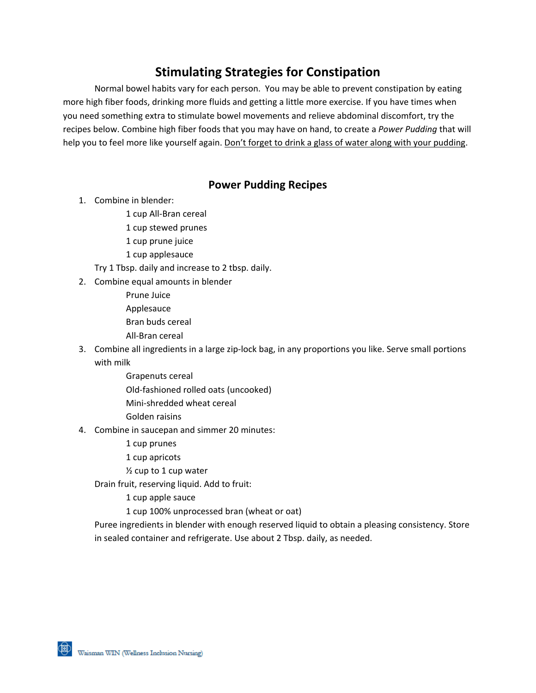# **Stimulating Strategies for Constipation**

Normal bowel habits vary for each person. You may be able to prevent constipation by eating more high fiber foods, drinking more fluids and getting a little more exercise. If you have times when you need something extra to stimulate bowel movements and relieve abdominal discomfort, try the recipes below. Combine high fiber foods that you may have on hand, to create a *Power Pudding* that will help you to feel more like yourself again. Don't forget to drink a glass of water along with your pudding.

#### **Power Pudding Recipes**

- 1. Combine in blender:
	- 1 cup All-Bran cereal
	- 1 cup stewed prunes
	- 1 cup prune juice
	- 1 cup applesauce
	- Try 1 Tbsp. daily and increase to 2 tbsp. daily.
- 2. Combine equal amounts in blender
	- Prune Juice Applesauce Bran buds cereal All-Bran cereal
- 3. Combine all ingredients in a large zip-lock bag, in any proportions you like. Serve small portions with milk
	- Grapenuts cereal Old-fashioned rolled oats (uncooked)
	- Mini-shredded wheat cereal
	- Golden raisins
- 4. Combine in saucepan and simmer 20 minutes:
	- 1 cup prunes
	- 1 cup apricots
	- ½ cup to 1 cup water
	- Drain fruit, reserving liquid. Add to fruit:
		- 1 cup apple sauce
		- 1 cup 100% unprocessed bran (wheat or oat)

Puree ingredients in blender with enough reserved liquid to obtain a pleasing consistency. Store in sealed container and refrigerate. Use about 2 Tbsp. daily, as needed.